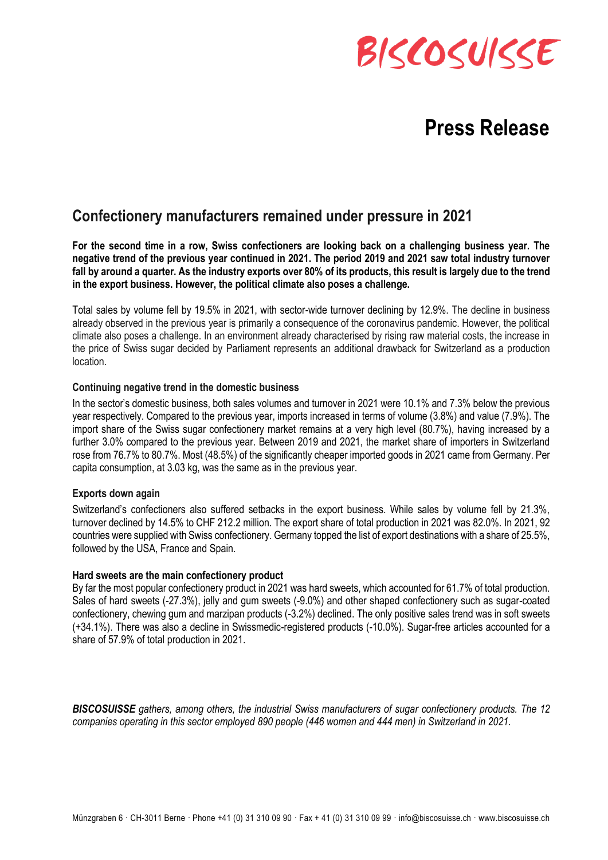# BISCOSUISSE

## **Press Release**

### **Confectionery manufacturers remained under pressure in 2021**

**For the second time in a row, Swiss confectioners are looking back on a challenging business year. The negative trend of the previous year continued in 2021. The period 2019 and 2021 saw total industry turnover fall by around a quarter. As the industry exports over 80% of its products, this result is largely due to the trend in the export business. However, the political climate also poses a challenge.**

Total sales by volume fell by 19.5% in 2021, with sector-wide turnover declining by 12.9%. The decline in business already observed in the previous year is primarily a consequence of the coronavirus pandemic. However, the political climate also poses a challenge. In an environment already characterised by rising raw material costs, the increase in the price of Swiss sugar decided by Parliament represents an additional drawback for Switzerland as a production location.

#### **Continuing negative trend in the domestic business**

In the sector's domestic business, both sales volumes and turnover in 2021 were 10.1% and 7.3% below the previous year respectively. Compared to the previous year, imports increased in terms of volume (3.8%) and value (7.9%). The import share of the Swiss sugar confectionery market remains at a very high level (80.7%), having increased by a further 3.0% compared to the previous year. Between 2019 and 2021, the market share of importers in Switzerland rose from 76.7% to 80.7%. Most (48.5%) of the significantly cheaper imported goods in 2021 came from Germany. Per capita consumption, at 3.03 kg, was the same as in the previous year.

#### **Exports down again**

Switzerland's confectioners also suffered setbacks in the export business. While sales by volume fell by 21.3%, turnover declined by 14.5% to CHF 212.2 million. The export share of total production in 2021 was 82.0%. In 2021, 92 countries were supplied with Swiss confectionery. Germany topped the list of export destinations with a share of 25.5%, followed by the USA, France and Spain.

#### **Hard sweets are the main confectionery product**

By far the most popular confectionery product in 2021 was hard sweets, which accounted for 61.7% of total production. Sales of hard sweets (-27.3%), jelly and gum sweets (-9.0%) and other shaped confectionery such as sugar-coated confectionery, chewing gum and marzipan products (-3.2%) declined. The only positive sales trend was in soft sweets (+34.1%). There was also a decline in Swissmedic-registered products (-10.0%). Sugar-free articles accounted for a share of 57.9% of total production in 2021.

*BISCOSUISSE gathers, among others, the industrial Swiss manufacturers of sugar confectionery products. The 12 companies operating in this sector employed 890 people (446 women and 444 men) in Switzerland in 2021.*